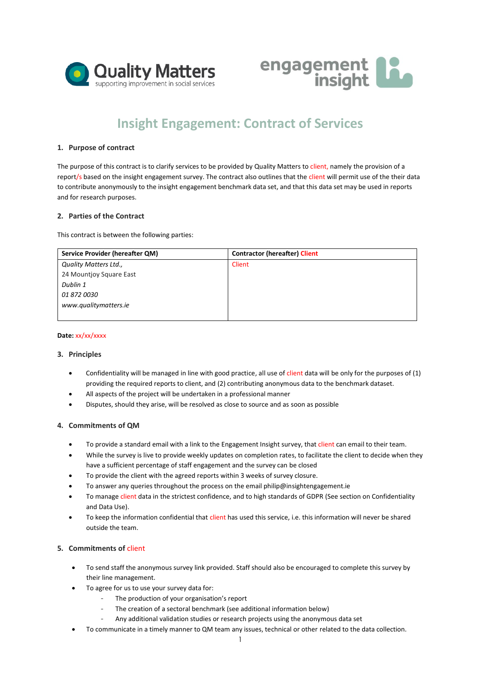



# **Insight Engagement: Contract of Services**

# **1. Purpose of contract**

The purpose of this contract is to clarify services to be provided by Quality Matters to client, namely the provision of a report/s based on the insight engagement survey. The contract also outlines that the client will permit use of the their data to contribute anonymously to the insight engagement benchmark data set, and that this data set may be used in reports and for research purposes.

# **2. Parties of the Contract**

This contract is between the following parties:

| Service Provider (hereafter QM) | <b>Contractor (hereafter) Client</b> |
|---------------------------------|--------------------------------------|
| Quality Matters Ltd.,           | Client                               |
| 24 Mountjoy Square East         |                                      |
| Dublin 1                        |                                      |
| <i>01 872 0030</i>              |                                      |
| www.qualitymatters.ie           |                                      |
|                                 |                                      |

#### **Date:** xx/xx/xxxx

## **3. Principles**

- Confidentiality will be managed in line with good practice, all use of client data will be only for the purposes of (1) providing the required reports to client, and (2) contributing anonymous data to the benchmark dataset.
- All aspects of the project will be undertaken in a professional manner
- Disputes, should they arise, will be resolved as close to source and as soon as possible

## **4. Commitments of QM**

- To provide a standard email with a link to the Engagement Insight survey, that client can email to their team.
- While the survey is live to provide weekly updates on completion rates, to facilitate the client to decide when they have a sufficient percentage of staff engagement and the survey can be closed
- To provide the client with the agreed reports within 3 weeks of survey closure.
- To answer any queries throughout the process on the email philip@insightengagement.ie
- To manage client data in the strictest confidence, and to high standards of GDPR (See section on Confidentiality and Data Use).
- To keep the information confidential that client has used this service, i.e. this information will never be shared outside the team.

# **5. Commitments of** client

- To send staff the anonymous survey link provided. Staff should also be encouraged to complete this survey by their line management.
- To agree for us to use your survey data for:
	- The production of your organisation's report
	- The creation of a sectoral benchmark (see additional information below)
	- Any additional validation studies or research projects using the anonymous data set
- To communicate in a timely manner to QM team any issues, technical or other related to the data collection.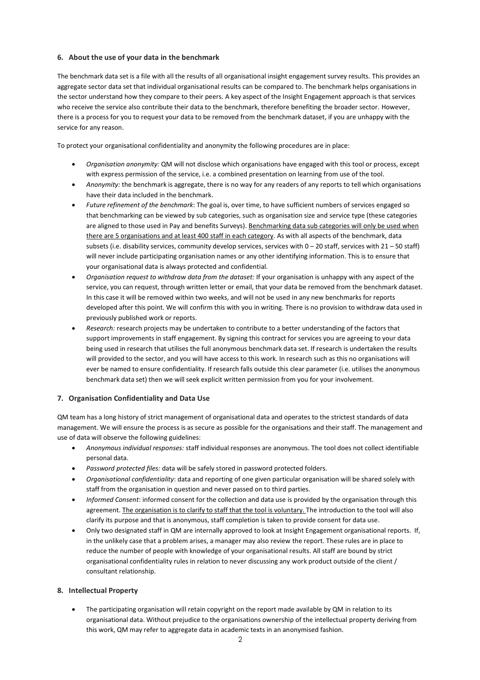# **6. About the use of your data in the benchmark**

The benchmark data set is a file with all the results of all organisational insight engagement survey results. This provides an aggregate sector data set that individual organisational results can be compared to. The benchmark helps organisations in the sector understand how they compare to their peers. A key aspect of the Insight Engagement approach is that services who receive the service also contribute their data to the benchmark, therefore benefiting the broader sector. However, there is a process for you to request your data to be removed from the benchmark dataset, if you are unhappy with the service for any reason.

To protect your organisational confidentiality and anonymity the following procedures are in place:

- *Organisation anonymity:* QM will not disclose which organisations have engaged with this tool or process, except with express permission of the service, i.e. a combined presentation on learning from use of the tool.
- *Anonymity:* the benchmark is aggregate, there is no way for any readers of any reports to tell which organisations have their data included in the benchmark.
- *Future refinement of the benchmark*: The goal is, over time, to have sufficient numbers of services engaged so that benchmarking can be viewed by sub categories, such as organisation size and service type (these categories are aligned to those used in Pay and benefits Surveys). Benchmarking data sub categories will only be used when there are 5 organisations and at least 400 staff in each category. As with all aspects of the benchmark, data subsets (i.e. disability services, community develop services, services with  $0-20$  staff, services with  $21-50$  staff) will never include participating organisation names or any other identifying information. This is to ensure that your organisational data is always protected and confidential.
- *Organisation request to withdraw data from the dataset:* If your organisation is unhappy with any aspect of the service, you can request, through written letter or email, that your data be removed from the benchmark dataset. In this case it will be removed within two weeks, and will not be used in any new benchmarks for reports developed after this point. We will confirm this with you in writing. There is no provision to withdraw data used in previously published work or reports.
- *Research:* research projects may be undertaken to contribute to a better understanding of the factors that support improvements in staff engagement. By signing this contract for services you are agreeing to your data being used in research that utilises the full anonymous benchmark data set. If research is undertaken the results will provided to the sector, and you will have access to this work. In research such as this no organisations will ever be named to ensure confidentiality. If research falls outside this clear parameter (i.e. utilises the anonymous benchmark data set) then we will seek explicit written permission from you for your involvement.

# **7. Organisation Confidentiality and Data Use**

QM team has a long history of strict management of organisational data and operates to the strictest standards of data management. We will ensure the process is as secure as possible for the organisations and their staff. The management and use of data will observe the following guidelines:

- *Anonymous individual responses:* staff individual responses are anonymous. The tool does not collect identifiable personal data.
- *Password protected files:* data will be safely stored in password protected folders.
- *Organisational confidentiality*: data and reporting of one given particular organisation will be shared solely with staff from the organisation in question and never passed on to third parties.
- *Informed Consent*: informed consent for the collection and data use is provided by the organisation through this agreement. The organisation is to clarify to staff that the tool is voluntary. The introduction to the tool will also clarify its purpose and that is anonymous, staff completion is taken to provide consent for data use.
- Only two designated staff in QM are internally approved to look at Insight Engagement organisational reports. If, in the unlikely case that a problem arises, a manager may also review the report. These rules are in place to reduce the number of people with knowledge of your organisational results. All staff are bound by strict organisational confidentiality rules in relation to never discussing any work product outside of the client / consultant relationship.

# **8. Intellectual Property**

• The participating organisation will retain copyright on the report made available by QM in relation to its organisational data. Without prejudice to the organisations ownership of the intellectual property deriving from this work, QM may refer to aggregate data in academic texts in an anonymised fashion.